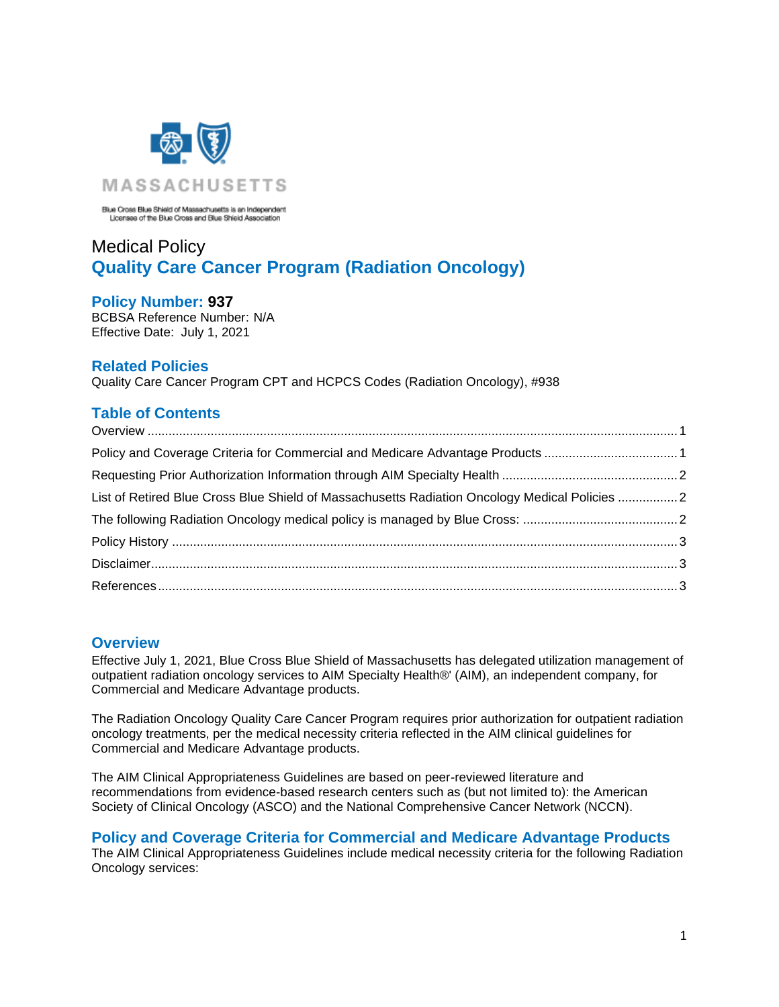

Blue Cross Blue Shield of Massachusetts is an Independent<br>Licensee of the Blue Cross and Blue Shield Association

## Medical Policy **Quality Care Cancer Program (Radiation Oncology)**

### **Policy Number: 937**

BCBSA Reference Number: N/A Effective Date: July 1, 2021

## **Related Policies**

Quality Care Cancer Program CPT and HCPCS Codes (Radiation Oncology), #938

## **Table of Contents**

| Policy and Coverage Criteria for Commercial and Medicare Advantage Products 1                 |  |
|-----------------------------------------------------------------------------------------------|--|
|                                                                                               |  |
| List of Retired Blue Cross Blue Shield of Massachusetts Radiation Oncology Medical Policies 2 |  |
|                                                                                               |  |
|                                                                                               |  |
|                                                                                               |  |
|                                                                                               |  |
|                                                                                               |  |

## <span id="page-0-0"></span>**Overview**

Effective July 1, 2021, Blue Cross Blue Shield of Massachusetts has delegated utilization management of outpatient radiation oncology services to AIM Specialty Health®' (AIM), an independent company, for Commercial and Medicare Advantage products.

The Radiation Oncology Quality Care Cancer Program requires prior authorization for outpatient radiation oncology treatments, per the medical necessity criteria reflected in the AIM clinical guidelines for Commercial and Medicare Advantage products.

The AIM Clinical Appropriateness Guidelines are based on peer-reviewed literature and recommendations from evidence-based research centers such as (but not limited to): the American Society of Clinical Oncology (ASCO) and the National Comprehensive Cancer Network (NCCN).

# <span id="page-0-1"></span>**Policy and Coverage Criteria for Commercial and Medicare Advantage Products**

The AIM Clinical Appropriateness Guidelines include medical necessity criteria for the following Radiation Oncology services: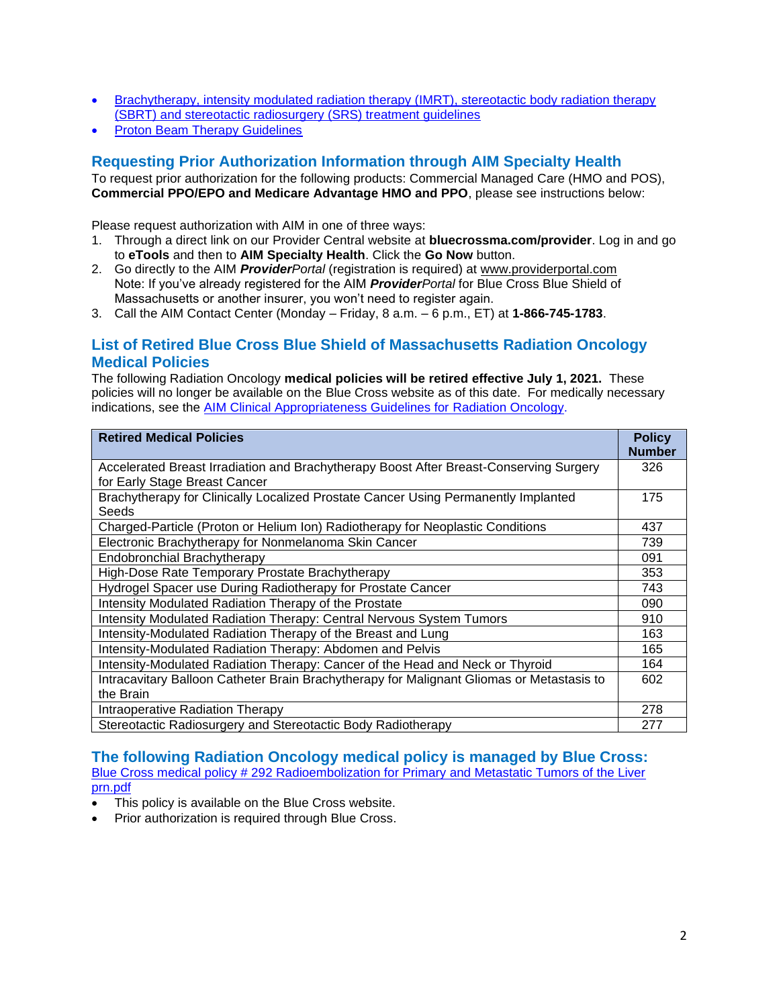- [Brachytherapy, intensity modulated radiation therapy \(IMRT\), stereotactic body radiation therapy](http://www.aimspecialtyhealth.com/PDF/Guidelines/2019/Mar09/AIM_Guidelines_RadiationOncology.pdf)  [\(SBRT\) and stereotactic radiosurgery \(SRS\) treatment guidelines](http://www.aimspecialtyhealth.com/PDF/Guidelines/2019/Mar09/AIM_Guidelines_RadiationOncology.pdf)
- <span id="page-1-0"></span>**[Proton Beam Therapy Guidelines](http://www.aimspecialtyhealth.com/PDF/Guidelines/2019/Mar09/AIM_Guidelines_ProtonBeam.pdf)**

## **Requesting Prior Authorization Information through AIM Specialty Health**

To request prior authorization for the following products: Commercial Managed Care (HMO and POS), **Commercial PPO/EPO and Medicare Advantage HMO and PPO**, please see instructions below:

Please request authorization with AIM in one of three ways:

- 1. Through a direct link on our Provider Central website at **bluecrossma.com/provider**. Log in and go to **eTools** and then to **AIM Specialty Health**. Click the **Go Now** button.
- 2. Go directly to the AIM *ProviderPortal* (registration is required) at [www.providerportal.com](http://www.providerportal.com/) Note: If you've already registered for the AIM *ProviderPortal* for Blue Cross Blue Shield of Massachusetts or another insurer, you won't need to register again.
- <span id="page-1-1"></span>3. Call the AIM Contact Center (Monday – Friday, 8 a.m. – 6 p.m., ET) at **1-866-745-1783**.

## **List of Retired Blue Cross Blue Shield of Massachusetts Radiation Oncology Medical Policies**

The following Radiation Oncology **medical policies will be retired effective July 1, 2021.** These policies will no longer be available on the Blue Cross website as of this date. For medically necessary indications, see the [AIM Clinical Appropriateness Guidelines for Radiation](http://www.aimspecialtyhealth.com/CG-RadiationOncology.html) Oncology.

| <b>Retired Medical Policies</b>                                                             | <b>Policy</b><br><b>Number</b> |
|---------------------------------------------------------------------------------------------|--------------------------------|
| Accelerated Breast Irradiation and Brachytherapy Boost After Breast-Conserving Surgery      |                                |
| for Early Stage Breast Cancer                                                               | 175                            |
| Brachytherapy for Clinically Localized Prostate Cancer Using Permanently Implanted<br>Seeds |                                |
| Charged-Particle (Proton or Helium Ion) Radiotherapy for Neoplastic Conditions              | 437                            |
| Electronic Brachytherapy for Nonmelanoma Skin Cancer                                        | 739                            |
| Endobronchial Brachytherapy                                                                 | 091                            |
| High-Dose Rate Temporary Prostate Brachytherapy                                             | 353                            |
| Hydrogel Spacer use During Radiotherapy for Prostate Cancer                                 | 743                            |
| Intensity Modulated Radiation Therapy of the Prostate                                       | 090                            |
| Intensity Modulated Radiation Therapy: Central Nervous System Tumors                        | 910                            |
| Intensity-Modulated Radiation Therapy of the Breast and Lung                                | 163                            |
| Intensity-Modulated Radiation Therapy: Abdomen and Pelvis                                   | 165                            |
| Intensity-Modulated Radiation Therapy: Cancer of the Head and Neck or Thyroid               | 164                            |
| Intracavitary Balloon Catheter Brain Brachytherapy for Malignant Gliomas or Metastasis to   | 602                            |
| the Brain                                                                                   |                                |
| Intraoperative Radiation Therapy                                                            | 278                            |
| Stereotactic Radiosurgery and Stereotactic Body Radiotherapy                                |                                |

### <span id="page-1-2"></span>**The following Radiation Oncology medical policy is managed by Blue Cross:**

Blue Cross medical policy # [292 Radioembolization for Primary and Metastatic Tumors of the Liver](http://www.bluecrossma.com/common/en_US/medical_policies/292%20Radioembolization%20for%20Primary%20and%20Metastatic%20Tumors%20of%20the%20Liver%20prn.pdf)  [prn.pdf](http://www.bluecrossma.com/common/en_US/medical_policies/292%20Radioembolization%20for%20Primary%20and%20Metastatic%20Tumors%20of%20the%20Liver%20prn.pdf)

- This policy is available on the Blue Cross website.
- Prior authorization is required through Blue Cross.